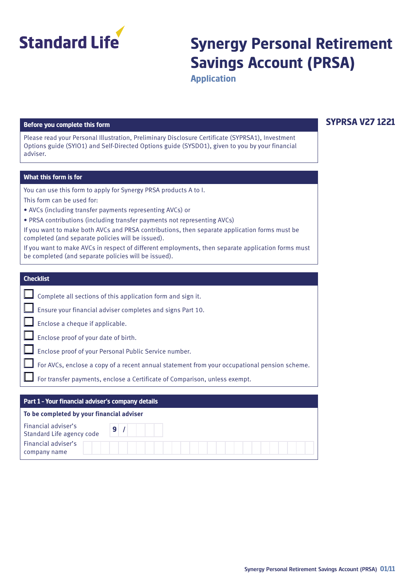

# **Synergy Personal Retirement Savings Account (PRSA)**

**Application**

#### **Before you complete this form**

Please read your Personal Illustration, Preliminary Disclosure Certificate (SYPRSA1), Investment Options guide (SYIO1) and Self-Directed Options guide (SYSDO1), given to you by your financial adviser.

#### **What this form is for**

You can use this form to apply for Synergy PRSA products A to I.

This form can be used for:

- AVCs (including transfer payments representing AVCs) or
- PRSA contributions (including transfer payments not representing AVCs)
- If you want to make both AVCs and PRSA contributions, then separate application forms must be completed (and separate policies will be issued).

If you want to make AVCs in respect of different employments, then separate application forms must be completed (and separate policies will be issued).

#### **Checklist**

|  |  | $\Box$ Complete all sections of this application form and sign it. |  |  |
|--|--|--------------------------------------------------------------------|--|--|
|  |  |                                                                    |  |  |

Ensure your financial adviser completes and signs Part 10.

Enclose a cheque if applicable.

Enclose proof of your date of birth.

Enclose proof of your Personal Public Service number.

For AVCs, enclose a copy of a recent annual statement from your occupational pension scheme.

For transfer payments, enclose a Certificate of Comparison, unless exempt.

### **Part 1 – Your financial adviser's company details** Financial adviser's Standard Life agency code **To be completed by your financial adviser** Financial adviser's company name **9 /**

## **SYPRSA V27 1221**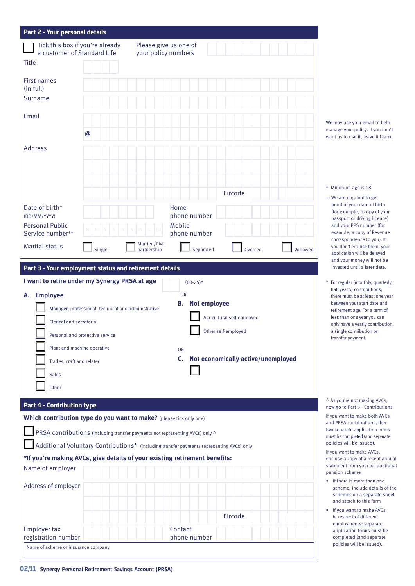| Part 2 - Your personal details                                             |                                                                               |                       |                                                                                          |                                    |         |                                                                  |
|----------------------------------------------------------------------------|-------------------------------------------------------------------------------|-----------------------|------------------------------------------------------------------------------------------|------------------------------------|---------|------------------------------------------------------------------|
|                                                                            | Tick this box if you're already                                               | Please give us one of |                                                                                          |                                    |         |                                                                  |
| a customer of Standard Life<br><b>Title</b>                                |                                                                               | your policy numbers   |                                                                                          |                                    |         |                                                                  |
|                                                                            |                                                                               |                       |                                                                                          |                                    |         |                                                                  |
| First names<br>(in full)                                                   |                                                                               |                       |                                                                                          |                                    |         |                                                                  |
| Surname                                                                    |                                                                               |                       |                                                                                          |                                    |         |                                                                  |
| Email                                                                      |                                                                               |                       |                                                                                          |                                    |         |                                                                  |
|                                                                            | @                                                                             |                       |                                                                                          |                                    |         | We may use your email to help<br>manage your policy. If you don' |
| <b>Address</b>                                                             |                                                                               |                       |                                                                                          |                                    |         | want us to use it, leave it blank                                |
|                                                                            |                                                                               |                       |                                                                                          |                                    |         |                                                                  |
|                                                                            |                                                                               |                       |                                                                                          |                                    |         |                                                                  |
|                                                                            |                                                                               |                       |                                                                                          |                                    |         | + Minimum age is 18.                                             |
|                                                                            |                                                                               |                       |                                                                                          | Eircode                            |         | ++We are required to get<br>proof of your date of birth          |
| Date of birth <sup>+</sup><br>(DD/MM/YYYY)                                 |                                                                               |                       | Home<br>phone number                                                                     |                                    |         | (for example, a copy of your                                     |
| <b>Personal Public</b>                                                     |                                                                               |                       | Mobile                                                                                   |                                    |         | passport or driving licence)<br>and your PPS number (for         |
| Service number <sup>++</sup>                                               |                                                                               | Married/Civil         | phone number                                                                             |                                    |         | example, a copy of Revenue<br>correspondence to you). If         |
| <b>Marital status</b>                                                      | Single                                                                        | partnership           | Separated                                                                                | <b>Divorced</b>                    | Widowed | you don't enclose them, your<br>application will be delayed      |
| Part 3 - Your employment status and retirement details                     |                                                                               |                       |                                                                                          |                                    |         | and your money will not be<br>invested until a later date.       |
| I want to retire under my Synergy PRSA at age                              |                                                                               |                       | $(60-75)*$                                                                               |                                    |         | * For regular (monthly, quarterly                                |
| <b>Employee</b><br>А.                                                      |                                                                               |                       | <b>OR</b>                                                                                |                                    |         | half yearly) contributions,<br>there must be at least one yea    |
|                                                                            | Manager, professional, technical and administrative                           |                       | <b>Not employee</b><br>В.                                                                |                                    |         | between your start date and<br>retirement age. For a term of     |
| Clerical and secretarial                                                   |                                                                               |                       |                                                                                          | Agricultural self-employed         |         | less than one year you can<br>only have a yearly contribution    |
|                                                                            | Personal and protective service                                               |                       |                                                                                          | Other self-employed                |         | a single contribution or<br>transfer payment.                    |
|                                                                            | Plant and machine operative                                                   |                       | <b>OR</b>                                                                                |                                    |         |                                                                  |
| Trades, craft and related                                                  |                                                                               |                       | $\mathsf{C}$ .                                                                           | Not economically active/unemployed |         |                                                                  |
| <b>Sales</b>                                                               |                                                                               |                       |                                                                                          |                                    |         |                                                                  |
| Other                                                                      |                                                                               |                       |                                                                                          |                                    |         |                                                                  |
| <b>Part 4 - Contribution type</b>                                          |                                                                               |                       |                                                                                          |                                    |         | ^ As you're not making AVCs,<br>now go to Part 5 - Contribution: |
| Which contribution type do you want to make? (please tick only one)        |                                                                               |                       |                                                                                          |                                    |         | If you want to make both AVCs<br>and PRSA contributions, then    |
|                                                                            | PRSA contributions (including transfer payments not representing AVCs) only ^ |                       |                                                                                          |                                    |         | two separate application forms                                   |
|                                                                            |                                                                               |                       | Additional Voluntary Contributions* (including transfer payments representing AVCs) only |                                    |         | must be completed (and separate<br>policies will be issued).     |
| *If you're making AVCs, give details of your existing retirement benefits: |                                                                               |                       |                                                                                          |                                    |         | If you want to make AVCs,<br>enclose a copy of a recent annu     |
| Name of employer                                                           |                                                                               |                       |                                                                                          |                                    |         | statement from your occupatio<br>pension scheme                  |
| Address of employer                                                        |                                                                               |                       |                                                                                          |                                    |         | • if there is more than one<br>scheme, include details of t      |
|                                                                            |                                                                               |                       |                                                                                          |                                    |         | schemes on a separate she<br>and attach to this form             |
|                                                                            |                                                                               |                       |                                                                                          | Eircode                            |         | if you want to make AVCs                                         |
| <b>Employer tax</b>                                                        |                                                                               |                       | Contact                                                                                  |                                    |         | in respect of different<br>employments: separate                 |
| registration number                                                        |                                                                               |                       | phone number                                                                             |                                    |         | application forms must be<br>completed (and separate             |
| Name of scheme or insurance company                                        |                                                                               |                       |                                                                                          |                                    |         | policies will be issued).                                        |

- Minimum age is 18.
- +We are required to get proof of your date of birth (for example, a copy of your passport or driving licence) and your PPS number (for example, a copy of Revenue correspondence to you). If you don't enclose them, your application will be delayed and your money will not be invested until a later date.
- For regular (monthly, quarterly, half yearly) contributions, there must be at least one year between your start date and retirement age. For a term of less than one year you can only have a yearly contribution, a single contribution or transfer payment.

vou want to make AVCs. nclose a copy of a recent annual atement from your occupational pension scheme

- if there is more than one scheme, include details of the schemes on a separate sheet and attach to this form
- if you want to make AVCs in respect of different employments: separate application forms must be completed (and separate policies will be issued).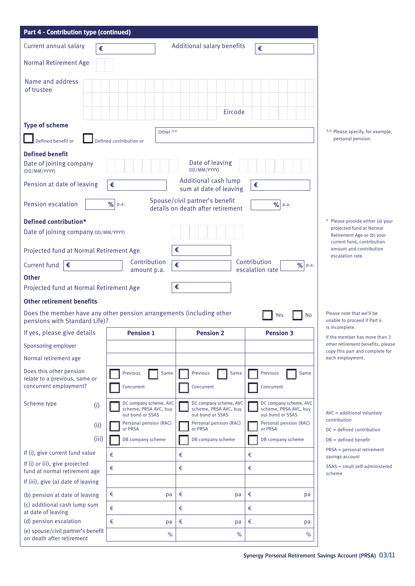| Part 4 - Contribution type (continued)                                                                |                                                                     |                                                                     |                                                                     |                                                                                      |
|-------------------------------------------------------------------------------------------------------|---------------------------------------------------------------------|---------------------------------------------------------------------|---------------------------------------------------------------------|--------------------------------------------------------------------------------------|
| Current annual salary<br>€                                                                            |                                                                     | Additional salary benefits                                          | €                                                                   |                                                                                      |
| Normal Retirement Age                                                                                 |                                                                     |                                                                     |                                                                     |                                                                                      |
| Name and address<br>of trustee                                                                        |                                                                     | Eircode                                                             |                                                                     |                                                                                      |
| <b>Type of scheme</b>                                                                                 | Other ^^                                                            |                                                                     |                                                                     | ^^ Please specify, for example,                                                      |
| Defined benefit or                                                                                    | Defined contribution or                                             |                                                                     |                                                                     | personal pension.                                                                    |
| <b>Defined benefit</b>                                                                                |                                                                     |                                                                     |                                                                     |                                                                                      |
| Date of joining company<br>(DD/MM/YYYY)                                                               |                                                                     | Date of leaving<br>DD/MM/YYYY)                                      |                                                                     |                                                                                      |
| Pension at date of leaving                                                                            | €                                                                   | Additional cash lump<br>sum at date of leaving                      | €                                                                   |                                                                                      |
| Pension escalation                                                                                    | %<br>p.a.                                                           | Spouse/civil partner's benefit<br>details on death after retirement | $\%$<br>p.a.                                                        |                                                                                      |
| Defined contribution*                                                                                 |                                                                     |                                                                     |                                                                     | * Please provide either (a) your                                                     |
| Date of joining company DD/MM/YYYY)                                                                   |                                                                     |                                                                     |                                                                     | projected fund at Normal<br>Retirement Age or (b) your<br>current fund, contribution |
| Projected fund at Normal Retirement Age                                                               |                                                                     | €                                                                   |                                                                     | amount and contribution<br>escalation rate.                                          |
| Current fund<br>€                                                                                     | Contribution<br>amount p.a.                                         | €                                                                   | Contribution<br>$\%$ p.a.<br>escalation rate                        |                                                                                      |
| <b>Other</b>                                                                                          |                                                                     |                                                                     |                                                                     |                                                                                      |
| Projected fund at Normal Retirement Age                                                               |                                                                     | €                                                                   |                                                                     |                                                                                      |
| <b>Other retirement benefits</b>                                                                      |                                                                     |                                                                     |                                                                     |                                                                                      |
| Does the member have any other pension arrangements (including other<br>pensions with Standard Life)? |                                                                     |                                                                     | No<br>Yes                                                           | Please note that we'll be<br>unable to proceed if Part 4<br>is incomplete.           |
| If yes, please give details                                                                           | <b>Pension 1</b>                                                    | <b>Pension 2</b>                                                    | <b>Pension 3</b>                                                    | If the member has more than 3                                                        |
| Sponsoring employer                                                                                   |                                                                     |                                                                     |                                                                     | other retirement benefits, please<br>copy this part and complete for                 |
| Normal retirement age                                                                                 |                                                                     |                                                                     |                                                                     | each employment.                                                                     |
| Does this other pension<br>relate to a previous, same or<br>concurrent employment?                    | Previous<br>Same<br>Concurrent                                      | Previous<br>Same<br>Concurrent                                      | Previous<br>Same<br>Concurrent                                      |                                                                                      |
| Scheme type<br>(i)                                                                                    | DC company scheme, AVC<br>scheme, PRSA AVC, buy<br>out bond or SSAS | DC company scheme, AVC<br>scheme, PRSA AVC, buy<br>out bond or SSAS | DC company scheme, AVC<br>scheme, PRSA AVC, buy<br>out bond or SSAS | AVC = additional voluntary                                                           |
| (ii)                                                                                                  | Personal pension (RAC)<br>or PRSA                                   | Personal pension (RAC)<br>or PRSA                                   | Personal pension (RAC)<br>or PRSA                                   | contribution<br>$DC = defined$ contribution                                          |
| (iii)                                                                                                 | DB company scheme                                                   | DB company scheme                                                   | DB company scheme                                                   | $DB = defined benefit$                                                               |
| If (i), give current fund value                                                                       | €                                                                   | €                                                                   | €                                                                   | PRSA = personal retirement<br>savings account                                        |
| If (i) or (ii), give projected<br>fund at normal retirement age                                       | €                                                                   | €                                                                   | €                                                                   | SSAS = small self-administered<br>scheme                                             |
| If (iii), give (a) date of leaving                                                                    |                                                                     |                                                                     |                                                                     |                                                                                      |
| (b) pension at date of leaving                                                                        | €<br>pa                                                             | €<br>pa                                                             | €<br>pa                                                             |                                                                                      |
| (c) additional cash lump sum<br>at date of leaving                                                    | €                                                                   | €                                                                   | €                                                                   |                                                                                      |
| (d) pension escalation                                                                                | €<br>pa                                                             | €<br>pa                                                             | €<br>pa                                                             |                                                                                      |
| (e) spouse/civil partner's benefit<br>on death after retirement                                       | $\%$                                                                | $\frac{0}{0}$                                                       | $\%$                                                                |                                                                                      |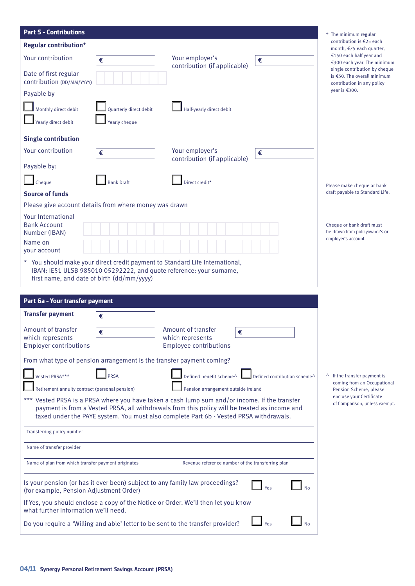| <b>Part 5 - Contributions</b>                                                                                                                                                                                                                                                            | <sup>+</sup> The minimum regular                                                                                                                                               |
|------------------------------------------------------------------------------------------------------------------------------------------------------------------------------------------------------------------------------------------------------------------------------------------|--------------------------------------------------------------------------------------------------------------------------------------------------------------------------------|
| <b>Regular contribution<sup>+</sup></b><br>Your contribution<br>Your employer's<br>€<br>€<br>contribution (if applicable)<br>Date of first regular                                                                                                                                       | contribution is €25 each<br>month, €75 each quarter,<br>€150 each half year and<br>€300 each year. The minimum<br>single contribution by cheque<br>is €50. The overall minimum |
| contribution (DD/MM/YYYY)                                                                                                                                                                                                                                                                | contribution in any policy<br>year is $€300$ .                                                                                                                                 |
| Payable by                                                                                                                                                                                                                                                                               |                                                                                                                                                                                |
| Monthly direct debit<br>Quarterly direct debit<br>Half-yearly direct debit                                                                                                                                                                                                               |                                                                                                                                                                                |
| Yearly direct debit<br>Yearly cheque                                                                                                                                                                                                                                                     |                                                                                                                                                                                |
| <b>Single contribution</b>                                                                                                                                                                                                                                                               |                                                                                                                                                                                |
| Your contribution<br>Your employer's<br>€<br>€<br>contribution (if applicable)                                                                                                                                                                                                           |                                                                                                                                                                                |
| Payable by:                                                                                                                                                                                                                                                                              |                                                                                                                                                                                |
| <b>Bank Draft</b><br>Cheque<br>Direct credit*<br><b>Source of funds</b>                                                                                                                                                                                                                  | Please make cheque or bank<br>draft payable to Standard Life.                                                                                                                  |
| Please give account details from where money was drawn                                                                                                                                                                                                                                   |                                                                                                                                                                                |
| <b>Your International</b><br><b>Bank Account</b><br>Number (IBAN)                                                                                                                                                                                                                        | Cheque or bank draft must<br>be drawn from policyowner's or                                                                                                                    |
| Name on<br>your account                                                                                                                                                                                                                                                                  | employer's account.                                                                                                                                                            |
| * You should make your direct credit payment to Standard Life International,<br>IBAN: IE51 ULSB 985010 05292222, and quote reference: your surname,<br>first name, and date of birth (dd/mm/yyyy)                                                                                        |                                                                                                                                                                                |
| Part 6a - Your transfer payment                                                                                                                                                                                                                                                          |                                                                                                                                                                                |
| <b>Transfer payment</b><br>€                                                                                                                                                                                                                                                             |                                                                                                                                                                                |
| Amount of transfer<br>Amount of transfer                                                                                                                                                                                                                                                 |                                                                                                                                                                                |
| €<br>€<br>which represents<br>which represents<br>Employee contributions<br><b>Employer contributions</b>                                                                                                                                                                                |                                                                                                                                                                                |
| From what type of pension arrangement is the transfer payment coming?                                                                                                                                                                                                                    |                                                                                                                                                                                |
| Vested PRSA***<br><b>PRSA</b><br>Defined benefit scheme^<br>Defined contribution scheme^                                                                                                                                                                                                 | <sup>1</sup> If the transfer payment is                                                                                                                                        |
| Retirement annuity contract (personal pension)<br>Pension arrangement outside Ireland                                                                                                                                                                                                    | coming from an Occupational<br>Pension Scheme, please                                                                                                                          |
| *** Vested PRSA is a PRSA where you have taken a cash lump sum and/or income. If the transfer<br>payment is from a Vested PRSA, all withdrawals from this policy will be treated as income and<br>taxed under the PAYE system. You must also complete Part 6b - Vested PRSA withdrawals. | enclose your Certificate<br>of Comparison, unless exempt.                                                                                                                      |
| Transferring policy number                                                                                                                                                                                                                                                               |                                                                                                                                                                                |
| Name of transfer provider                                                                                                                                                                                                                                                                |                                                                                                                                                                                |
| Name of plan from which transfer payment originates<br>Revenue reference number of the transferring plan                                                                                                                                                                                 |                                                                                                                                                                                |
| Is your pension (or has it ever been) subject to any family law proceedings?<br>Yes<br>(for example, Pension Adjustment Order)                                                                                                                                                           |                                                                                                                                                                                |
| If Yes, you should enclose a copy of the Notice or Order. We'll then let you know<br>what further information we'll need.                                                                                                                                                                |                                                                                                                                                                                |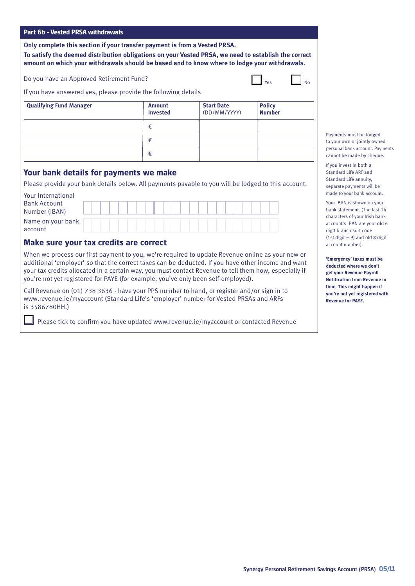#### **Part 6b - Vested PRSA withdrawals**

**Only complete this section if your transfer payment is from a Vested PRSA.** 

**To satisfy the deemed distribution obligations on your Vested PRSA, we need to establish the correct amount on which your withdrawals should be based and to know where to lodge your withdrawals.**

Do you have an Approved Retirement Fund?

| . .<br>٠ |  |  |
|----------|--|--|
|          |  |  |

If you have answered yes, please provide the following details

| <b>Qualifying Fund Manager</b> | <b>Amount</b><br><b>Invested</b> | <b>Start Date</b><br>(DD/MM/YYYY) | <b>Policy</b><br><b>Number</b> |
|--------------------------------|----------------------------------|-----------------------------------|--------------------------------|
|                                | €                                |                                   |                                |
|                                | €                                |                                   |                                |
|                                | €                                |                                   |                                |

#### **Your bank details for payments we make**

Please provide your bank details below. All payments payable to you will be lodged to this account.

| Your International  |  |  |  |  |  |  |  |  |  |  |  |
|---------------------|--|--|--|--|--|--|--|--|--|--|--|
| <b>Bank Account</b> |  |  |  |  |  |  |  |  |  |  |  |
| Number (IBAN)       |  |  |  |  |  |  |  |  |  |  |  |
| Name on your bank   |  |  |  |  |  |  |  |  |  |  |  |
| account             |  |  |  |  |  |  |  |  |  |  |  |

#### **Make sure your tax credits are correct**

When we process our first payment to you, we're required to update Revenue online as your new or additional 'employer' so that the correct taxes can be deducted. If you have other income and want your tax credits allocated in a certain way, you must contact Revenue to tell them how, especially if you're not yet registered for PAYE (for example, you've only been self-employed).

Call Revenue on (01) 738 3636 - have your PPS number to hand, or register and/or sign in to www.revenue.ie/myaccount (Standard Life's 'employer' number for Vested PRSAs and ARFs is 3586780HH.)

Please tick to confirm you have updated www.revenue.ie/myaccount or contacted Revenue

Payments must be lodged to your own or jointly owned personal bank account. Payments cannot be made by cheque.

If you invest in both a Standard Life ARF and Standard Life annuity, separate payments will be made to your bank account.

Your IBAN is shown on your bank statement. (The last 14 characters of your Irish bank account's IBAN are your old 6 digit branch sort code (1st digit  $= 9$ ) and old 8 digit account number).

**'Emergency' taxes must be deducted where we don't get your Revenue Payroll Notification from Revenue in time. This might happen if you're not yet registered with Revenue for PAYE.**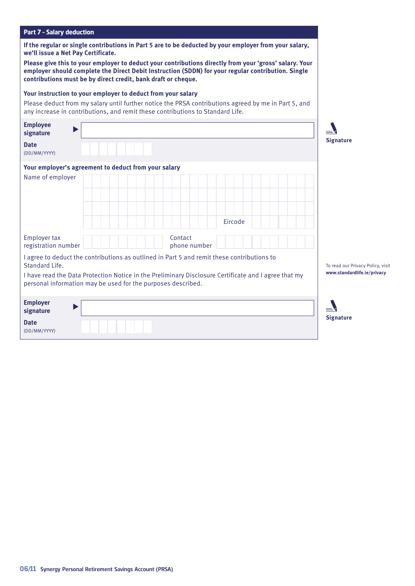| <b>Part 7 - Salary deduction</b>                                                                                                                                                                                                                                                                                                                                                                                              |                                                                  |
|-------------------------------------------------------------------------------------------------------------------------------------------------------------------------------------------------------------------------------------------------------------------------------------------------------------------------------------------------------------------------------------------------------------------------------|------------------------------------------------------------------|
| If the regular or single contributions in Part 5 are to be deducted by your employer from your salary,<br>we'll issue a Net Pay Certificate.<br>Please give this to your employer to deduct your contributions directly from your 'gross' salary. Your<br>employer should complete the Direct Debit Instruction (SDDN) for your regular contribution. Single<br>contributions must be by direct credit, bank draft or cheque. |                                                                  |
| Your instruction to your employer to deduct from your salary<br>Please deduct from my salary until further notice the PRSA contributions agreed by me in Part 5, and<br>any increase in contributions, and remit these contributions to Standard Life.                                                                                                                                                                        |                                                                  |
| <b>Employee</b><br>signature<br><b>Date</b><br>(DD/MM/YYYY)                                                                                                                                                                                                                                                                                                                                                                   | <b>Signature</b>                                                 |
| Your employer's agreement to deduct from your salary<br>Name of employer<br>Eircode                                                                                                                                                                                                                                                                                                                                           |                                                                  |
| <b>Employer tax</b><br>Contact<br>registration number<br>phone number                                                                                                                                                                                                                                                                                                                                                         |                                                                  |
| I agree to deduct the contributions as outlined in Part 5 and remit these contributions to<br>Standard Life.<br>I have read the Data Protection Notice in the Preliminary Disclosure Certificate and I agree that my<br>personal information may be used for the purposes described.                                                                                                                                          | To read our Privacy Policy, visit<br>www.standardlife.ie/privacy |
| <b>Employer</b><br>signature<br><b>Date</b><br>(DD/MM/YYYY)                                                                                                                                                                                                                                                                                                                                                                   | <b>Signature</b>                                                 |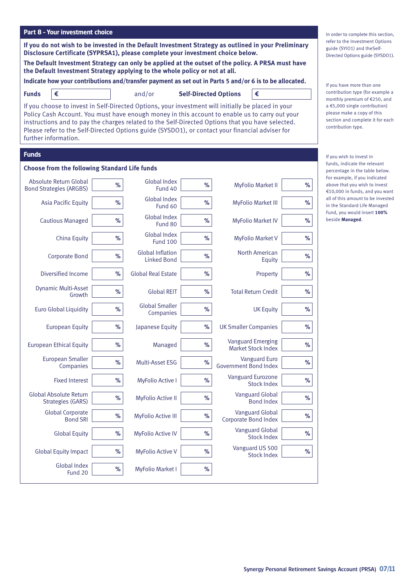| Part 8 - Your investment choice                                                                                                                                                                                                                                                                                                                                                                                                     |      |                                               |                              |                                                       |      |                                                                                                                                         |
|-------------------------------------------------------------------------------------------------------------------------------------------------------------------------------------------------------------------------------------------------------------------------------------------------------------------------------------------------------------------------------------------------------------------------------------|------|-----------------------------------------------|------------------------------|-------------------------------------------------------|------|-----------------------------------------------------------------------------------------------------------------------------------------|
| If you do not wish to be invested in the Default Investment Strategy as outlined in your Preliminary<br>Disclosure Certificate (SYPRSA1), please complete your investment choice below.                                                                                                                                                                                                                                             |      |                                               |                              |                                                       |      | In order to complete this section,<br>refer to the Investment Options<br>guide (SYIO1) and theSelf-<br>Directed Options guide (SYSDO1). |
| The Default Investment Strategy can only be applied at the outset of the policy. A PRSA must have<br>the Default Investment Strategy applying to the whole policy or not at all.                                                                                                                                                                                                                                                    |      |                                               |                              |                                                       |      |                                                                                                                                         |
| Indicate how your contributions and/transfer payment as set out in Parts 5 and/or 6 is to be allocated.                                                                                                                                                                                                                                                                                                                             |      |                                               |                              |                                                       |      | If you have more than one                                                                                                               |
| €<br><b>Funds</b>                                                                                                                                                                                                                                                                                                                                                                                                                   |      | and/or                                        | <b>Self-Directed Options</b> | €                                                     |      | contribution type (for example a<br>monthly premium of €250, and                                                                        |
| If you choose to invest in Self-Directed Options, your investment will initially be placed in your<br>Policy Cash Account. You must have enough money in this account to enable us to carry out your<br>instructions and to pay the charges related to the Self-Directed Options that you have selected.<br>Please refer to the Self-Directed Options guide (SYSDO1), or contact your financial adviser for<br>further information. |      |                                               |                              |                                                       |      | $a \in 5,000$ single contribution)<br>please make a copy of this<br>section and complete it for each<br>contribution type.              |
| <b>Funds</b>                                                                                                                                                                                                                                                                                                                                                                                                                        |      |                                               |                              |                                                       |      | If you wish to invest in                                                                                                                |
| <b>Choose from the following Standard Life funds</b>                                                                                                                                                                                                                                                                                                                                                                                |      |                                               |                              |                                                       |      | funds, indicate the relevant<br>percentage in the table below.                                                                          |
| Absolute Return Global<br><b>Bond Strategies (ARGBS)</b>                                                                                                                                                                                                                                                                                                                                                                            | $\%$ | Global Index<br>Fund 40                       | ℅                            | <b>MyFolio Market II</b>                              | ℅    | For example, if you indicated<br>above that you wish to invest<br>€10,000 in funds, and you want                                        |
| <b>Asia Pacific Equity</b>                                                                                                                                                                                                                                                                                                                                                                                                          | $\%$ | <b>Global Index</b><br>Fund 60                | %                            | <b>MyFolio Market III</b>                             | ℅    | all of this amount to be invested<br>in the Standard Life Managed                                                                       |
| <b>Cautious Managed</b>                                                                                                                                                                                                                                                                                                                                                                                                             | %    | <b>Global Index</b><br>Fund 80                | %                            | <b>MyFolio Market IV</b>                              | %    | Fund, you would insert 100%<br>beside Managed.                                                                                          |
| China Equity                                                                                                                                                                                                                                                                                                                                                                                                                        | %    | <b>Global Index</b><br><b>Fund 100</b>        | %                            | <b>MyFolio Market V</b>                               | %    |                                                                                                                                         |
| <b>Corporate Bond</b>                                                                                                                                                                                                                                                                                                                                                                                                               | $\%$ | <b>Global Inflation</b><br><b>Linked Bond</b> | %                            | North American<br>Equity                              | $\%$ |                                                                                                                                         |
| Diversified Income                                                                                                                                                                                                                                                                                                                                                                                                                  | $\%$ | <b>Global Real Estate</b>                     | %                            | Property                                              | ℅    |                                                                                                                                         |
| Dynamic Multi-Asset<br>Growth                                                                                                                                                                                                                                                                                                                                                                                                       | $\%$ | <b>Global REIT</b>                            | $\%$                         | <b>Total Return Credit</b>                            | ℅    |                                                                                                                                         |
| <b>Euro Global Liquidity</b>                                                                                                                                                                                                                                                                                                                                                                                                        | $\%$ | <b>Global Smaller</b><br>Companies            | $\%$                         | <b>UK Equity</b>                                      | %    |                                                                                                                                         |
| <b>European Equity</b>                                                                                                                                                                                                                                                                                                                                                                                                              | $\%$ | Japanese Equity                               | $\%$                         | <b>UK Smaller Companies</b>                           | %    |                                                                                                                                         |
| <b>European Ethical Equity</b>                                                                                                                                                                                                                                                                                                                                                                                                      | $\%$ | Managed                                       | $\%$                         | <b>Vanguard Emerging</b><br><b>Market Stock Index</b> | $\%$ |                                                                                                                                         |
| <b>European Smaller</b><br>Companies                                                                                                                                                                                                                                                                                                                                                                                                | $\%$ | Multi-Asset ESG                               | $\%$                         | <b>Vanguard Euro</b><br><b>Government Bond Index</b>  | $\%$ |                                                                                                                                         |
| <b>Fixed Interest</b>                                                                                                                                                                                                                                                                                                                                                                                                               | $\%$ | <b>MyFolio Active I</b>                       | $\%$                         | Vanguard Eurozone<br><b>Stock Index</b>               | $\%$ |                                                                                                                                         |
| Global Absolute Return<br><b>Strategies (GARS)</b>                                                                                                                                                                                                                                                                                                                                                                                  | $\%$ | <b>MyFolio Active II</b>                      | $\%$                         | <b>Vanguard Global</b><br><b>Bond Index</b>           | $\%$ |                                                                                                                                         |
| <b>Global Corporate</b><br><b>Bond SRI</b>                                                                                                                                                                                                                                                                                                                                                                                          | $\%$ | <b>MyFolio Active III</b>                     | $\%$                         | <b>Vanguard Global</b><br>Corporate Bond Index        | $\%$ |                                                                                                                                         |
| <b>Global Equity</b>                                                                                                                                                                                                                                                                                                                                                                                                                | $\%$ | <b>MyFolio Active IV</b>                      | $\%$                         | <b>Vanguard Global</b><br><b>Stock Index</b>          | %    |                                                                                                                                         |
| <b>Global Equity Impact</b>                                                                                                                                                                                                                                                                                                                                                                                                         | $\%$ | <b>MyFolio Active V</b>                       | $\%$                         | Vanguard US 500<br><b>Stock Index</b>                 | $\%$ |                                                                                                                                         |
| Global Index<br>Fund 20                                                                                                                                                                                                                                                                                                                                                                                                             | $\%$ | <b>MyFolio Market I</b>                       | $\%$                         |                                                       |      |                                                                                                                                         |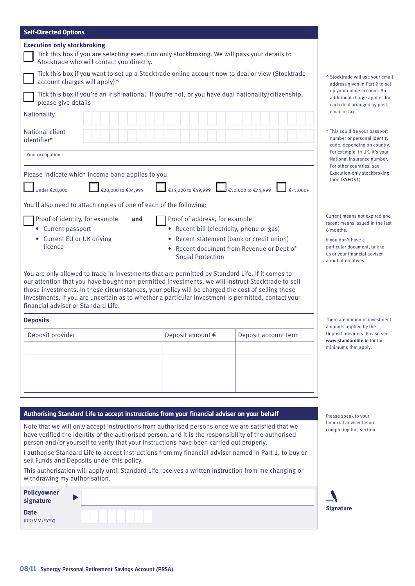| <b>Self-Directed Options</b>                                                                                                                                                                                                                                                                                                                                                                                                                                                                                                                                                                       |                                                                                                      |                                                                                    |                                                                                                                                                                                             |
|----------------------------------------------------------------------------------------------------------------------------------------------------------------------------------------------------------------------------------------------------------------------------------------------------------------------------------------------------------------------------------------------------------------------------------------------------------------------------------------------------------------------------------------------------------------------------------------------------|------------------------------------------------------------------------------------------------------|------------------------------------------------------------------------------------|---------------------------------------------------------------------------------------------------------------------------------------------------------------------------------------------|
| <b>Execution only stockbroking</b><br>Tick this box if you are selecting execution only stockbroking. We will pass your details to<br>Stocktrade who will contact you directly.                                                                                                                                                                                                                                                                                                                                                                                                                    |                                                                                                      |                                                                                    |                                                                                                                                                                                             |
| Tick this box if you want to set up a Stocktrade online account now to deal or view (Stocktrade<br>account charges will apply)^                                                                                                                                                                                                                                                                                                                                                                                                                                                                    |                                                                                                      |                                                                                    | ^ Stocktrade will use your email<br>address given in Part 2 to set                                                                                                                          |
| Tick this box if you're an Irish national. If you're not, or you have dual nationality/citizenship,<br>please give details                                                                                                                                                                                                                                                                                                                                                                                                                                                                         |                                                                                                      |                                                                                    | up your online account. An<br>additional charge applies for<br>each deal arranged by post,                                                                                                  |
| Nationality                                                                                                                                                                                                                                                                                                                                                                                                                                                                                                                                                                                        |                                                                                                      |                                                                                    | email or fax.                                                                                                                                                                               |
| National client<br>identifier*                                                                                                                                                                                                                                                                                                                                                                                                                                                                                                                                                                     |                                                                                                      |                                                                                    | * This could be your passport<br>number or personal identity<br>code, depending on country.                                                                                                 |
| Your occupation                                                                                                                                                                                                                                                                                                                                                                                                                                                                                                                                                                                    |                                                                                                      |                                                                                    | For example, in UK, it's your<br>National Insurance number.                                                                                                                                 |
| Please indicate which income band applies to you                                                                                                                                                                                                                                                                                                                                                                                                                                                                                                                                                   |                                                                                                      |                                                                                    | For other countries, see<br>Execution-only stockbroking<br>form (SYEOS1).                                                                                                                   |
| €20,000 to €34,999<br>Under €20,000                                                                                                                                                                                                                                                                                                                                                                                                                                                                                                                                                                | €35,000 to €49,999 $\Box$ €50,000 to €74,999                                                         | €75,000+                                                                           |                                                                                                                                                                                             |
| You'll also need to attach copies of one of each of the following:                                                                                                                                                                                                                                                                                                                                                                                                                                                                                                                                 |                                                                                                      |                                                                                    |                                                                                                                                                                                             |
| Proof of identity, for example<br>and<br>• Current passport<br>• Current EU or UK driving<br>licence                                                                                                                                                                                                                                                                                                                                                                                                                                                                                               | Proof of address, for example<br>Recent bill (electricity, phone or gas)<br><b>Social Protection</b> | Recent statement (bank or credit union)<br>Recent document from Revenue or Dept of | Current means not expired and<br>recent means issued in the last<br>6 months.<br>If you don't have a<br>particular document, talk to<br>us or your financial adviser<br>about alternatives. |
| You are only allowed to trade in investments that are permitted by Standard Life. If it comes to<br>our attention that you have bought non-permitted investments, we will instruct Stocktrade to sell<br>those investments. In these circumstances, your policy will be charged the cost of selling those<br>investments. If you are uncertain as to whether a particular investment is permitted, contact your<br>financial adviser or Standard Life.                                                                                                                                             |                                                                                                      |                                                                                    |                                                                                                                                                                                             |
| <b>Deposits</b>                                                                                                                                                                                                                                                                                                                                                                                                                                                                                                                                                                                    |                                                                                                      |                                                                                    | There are minimum investment<br>amounts applied by the                                                                                                                                      |
| Deposit provider                                                                                                                                                                                                                                                                                                                                                                                                                                                                                                                                                                                   | Deposit amount €                                                                                     | Deposit account term                                                               | Deposit providers. Please see<br>www.standardlife.ie for the<br>minimums that apply.                                                                                                        |
|                                                                                                                                                                                                                                                                                                                                                                                                                                                                                                                                                                                                    |                                                                                                      |                                                                                    |                                                                                                                                                                                             |
|                                                                                                                                                                                                                                                                                                                                                                                                                                                                                                                                                                                                    |                                                                                                      |                                                                                    |                                                                                                                                                                                             |
|                                                                                                                                                                                                                                                                                                                                                                                                                                                                                                                                                                                                    |                                                                                                      |                                                                                    |                                                                                                                                                                                             |
| Authorising Standard Life to accept instructions from your financial adviser on your behalf                                                                                                                                                                                                                                                                                                                                                                                                                                                                                                        |                                                                                                      |                                                                                    | Please speak to your                                                                                                                                                                        |
| Note that we will only accept instructions from authorised persons once we are satisfied that we<br>have verified the identity of the authorised person, and it is the responsibility of the authorised<br>person and/or yourself to verify that your instructions have been carried out properly.<br>I authorise Standard Life to accept instructions from my financial adviser named in Part 1, to buy or<br>sell Funds and Deposits under this policy.<br>This authorisation will apply until Standard Life receives a written instruction from me changing or<br>withdrawing my authorisation. |                                                                                                      |                                                                                    | financial adviser before<br>completing this section.                                                                                                                                        |
| <b>Policyowner</b><br>signature                                                                                                                                                                                                                                                                                                                                                                                                                                                                                                                                                                    |                                                                                                      |                                                                                    |                                                                                                                                                                                             |
| <b>Date</b><br>(DD/MM/YYYY)                                                                                                                                                                                                                                                                                                                                                                                                                                                                                                                                                                        |                                                                                                      |                                                                                    | <b>Signature</b>                                                                                                                                                                            |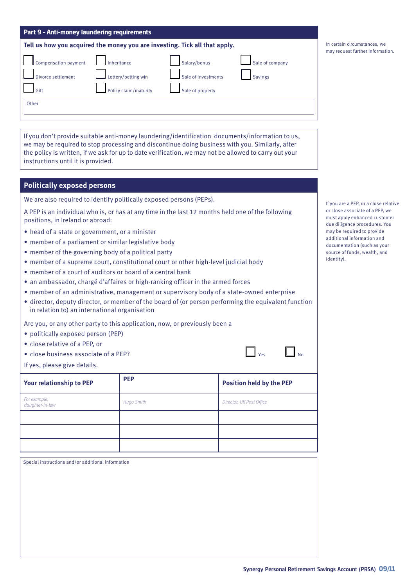| Part 9 - Anti-money laundering requirements |  |  |
|---------------------------------------------|--|--|
|                                             |  |  |

| Tell us how you acquired the money you are investing. Tick all that apply. |
|----------------------------------------------------------------------------|
|----------------------------------------------------------------------------|

| $\Box$ Compensation payment | Inheritance           | Salary/bonus        |  |
|-----------------------------|-----------------------|---------------------|--|
| Divorce settlement          | Lottery/betting win   | Sale of investments |  |
| Gift                        | Policy claim/maturity | Sale of property    |  |
| Other                       |                       |                     |  |

If you don't provide suitable anti-money laundering/identification documents/information to us, we may be required to stop processing and discontinue doing business with you. Similarly, after the policy is written, if we ask for up to date verification, we may not be allowed to carry out your instructions until it is provided.

### **Politically exposed persons**

We are also required to identify politically exposed persons (PEPs).

A PEP is an individual who is, or has at any time in the last 12 months held one of the following positions, in Ireland or abroad:

- head of a state or government, or a minister
- member of a parliament or similar legislative body
- member of the governing body of a political party
- member of a supreme court, constitutional court or other high-level judicial body
- member of a court of auditors or board of a central bank
- an ambassador, chargé d'affaires or high-ranking officer in the armed forces
- member of an administrative, management or supervisory body of a state-owned enterprise
- director, deputy director, or member of the board of (or person performing the equivalent function in relation to) an international organisation

Are you, or any other party to this application, now, or previously been a

- politically exposed person (PEP)
- close relative of a PEP, or
- close business associate of a PEP?
- If yes, please give details.

| Your relationship to PEP        | <b>PEP</b> | <b>Position held by the PEP</b> |
|---------------------------------|------------|---------------------------------|
| For example,<br>daughter-in-law | Hugo Smith | Director, UK Post Office        |
|                                 |            |                                 |
|                                 |            |                                 |
|                                 |            |                                 |

Special instructions and/or additional information

If you are a PEP, or a close relative or close associate of a PEP, we must apply enhanced customer due diligence procedures. You may be required to provide additional information and documentation (such as your source of funds, wealth, and identity).

| In certain circumstances, we     |
|----------------------------------|
| may request further information. |

Sale of company

 $\Box$ <sub>No</sub>

Savings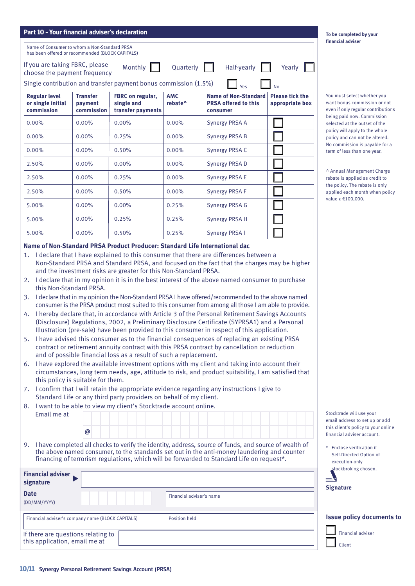| Part 10 - Your financial adviser's declaration                                                   |                                          |                                                                                                                                                                                                                                                                                    |                                   |                                                                                                                                                                                                                                                                                                                                                                                                                                                                                                                                                                                                                                                                                                                                                                                                                                                                                                                                                                                                                                                                                                                                       |                                           | To be completed by your<br>financial adviser                                                      |
|--------------------------------------------------------------------------------------------------|------------------------------------------|------------------------------------------------------------------------------------------------------------------------------------------------------------------------------------------------------------------------------------------------------------------------------------|-----------------------------------|---------------------------------------------------------------------------------------------------------------------------------------------------------------------------------------------------------------------------------------------------------------------------------------------------------------------------------------------------------------------------------------------------------------------------------------------------------------------------------------------------------------------------------------------------------------------------------------------------------------------------------------------------------------------------------------------------------------------------------------------------------------------------------------------------------------------------------------------------------------------------------------------------------------------------------------------------------------------------------------------------------------------------------------------------------------------------------------------------------------------------------------|-------------------------------------------|---------------------------------------------------------------------------------------------------|
| Name of Consumer to whom a Non-Standard PRSA<br>has been offered or recommended (BLOCK CAPITALS) |                                          |                                                                                                                                                                                                                                                                                    |                                   |                                                                                                                                                                                                                                                                                                                                                                                                                                                                                                                                                                                                                                                                                                                                                                                                                                                                                                                                                                                                                                                                                                                                       |                                           |                                                                                                   |
| If you are taking FBRC, please<br>choose the payment frequency                                   |                                          | Monthly                                                                                                                                                                                                                                                                            | Quarterly                         | Half-yearly                                                                                                                                                                                                                                                                                                                                                                                                                                                                                                                                                                                                                                                                                                                                                                                                                                                                                                                                                                                                                                                                                                                           | Yearly                                    |                                                                                                   |
|                                                                                                  |                                          | Single contribution and transfer payment bonus commission (1.5%)                                                                                                                                                                                                                   |                                   | Yes                                                                                                                                                                                                                                                                                                                                                                                                                                                                                                                                                                                                                                                                                                                                                                                                                                                                                                                                                                                                                                                                                                                                   | <b>No</b>                                 |                                                                                                   |
| <b>Regular level</b><br>or single initial<br>commission                                          | <b>Transfer</b><br>payment<br>commission | FBRC on regular,<br>single and<br>transfer payments                                                                                                                                                                                                                                | <b>AMC</b><br>rebate <sup>^</sup> | <b>Name of Non-Standard</b><br><b>PRSA offered to this</b><br>consumer                                                                                                                                                                                                                                                                                                                                                                                                                                                                                                                                                                                                                                                                                                                                                                                                                                                                                                                                                                                                                                                                | <b>Please tick the</b><br>appropriate box | You must select whether you<br>want bonus commission or not<br>even if only regular contributions |
| 0.00%                                                                                            | 0.00%                                    | 0.00%                                                                                                                                                                                                                                                                              | 0.00%                             | <b>Synergy PRSA A</b>                                                                                                                                                                                                                                                                                                                                                                                                                                                                                                                                                                                                                                                                                                                                                                                                                                                                                                                                                                                                                                                                                                                 |                                           | being paid now. Commission<br>selected at the outset of the                                       |
| 0.00%                                                                                            | $0.00\%$                                 | 0.25%                                                                                                                                                                                                                                                                              | 0.00%                             | <b>Synergy PRSA B</b>                                                                                                                                                                                                                                                                                                                                                                                                                                                                                                                                                                                                                                                                                                                                                                                                                                                                                                                                                                                                                                                                                                                 |                                           | policy will apply to the whole<br>policy and can not be altered.                                  |
| 0.00%                                                                                            | 0.00%                                    | 0.50%                                                                                                                                                                                                                                                                              | 0.00%                             | Synergy PRSA C                                                                                                                                                                                                                                                                                                                                                                                                                                                                                                                                                                                                                                                                                                                                                                                                                                                                                                                                                                                                                                                                                                                        |                                           | No commission is payable for a<br>term of less than one year.                                     |
| 2.50%                                                                                            | 0.00%                                    | 0.00%                                                                                                                                                                                                                                                                              | 0.00%                             | <b>Synergy PRSAD</b>                                                                                                                                                                                                                                                                                                                                                                                                                                                                                                                                                                                                                                                                                                                                                                                                                                                                                                                                                                                                                                                                                                                  |                                           |                                                                                                   |
| 2.50%                                                                                            | 0.00%                                    | 0.25%                                                                                                                                                                                                                                                                              | 0.00%                             | <b>Synergy PRSA E</b>                                                                                                                                                                                                                                                                                                                                                                                                                                                                                                                                                                                                                                                                                                                                                                                                                                                                                                                                                                                                                                                                                                                 |                                           | ^ Annual Management Charge<br>rebate is applied as credit to                                      |
| 2.50%                                                                                            | 0.00%                                    | 0.50%                                                                                                                                                                                                                                                                              | 0.00%                             | <b>Synergy PRSA F</b>                                                                                                                                                                                                                                                                                                                                                                                                                                                                                                                                                                                                                                                                                                                                                                                                                                                                                                                                                                                                                                                                                                                 |                                           | the policy. The rebate is only<br>applied each month when policy                                  |
| 5.00%                                                                                            | 0.00%                                    | 0.00%                                                                                                                                                                                                                                                                              | 0.25%                             | <b>Synergy PRSA G</b>                                                                                                                                                                                                                                                                                                                                                                                                                                                                                                                                                                                                                                                                                                                                                                                                                                                                                                                                                                                                                                                                                                                 |                                           | value ≥ €100,000.                                                                                 |
| 5.00%                                                                                            | 0.00%                                    | 0.25%                                                                                                                                                                                                                                                                              | 0.25%                             | Synergy PRSA H                                                                                                                                                                                                                                                                                                                                                                                                                                                                                                                                                                                                                                                                                                                                                                                                                                                                                                                                                                                                                                                                                                                        |                                           |                                                                                                   |
| 5.00%                                                                                            | $0.00\%$                                 | 0.50%                                                                                                                                                                                                                                                                              | 0.25%                             | Synergy PRSA I                                                                                                                                                                                                                                                                                                                                                                                                                                                                                                                                                                                                                                                                                                                                                                                                                                                                                                                                                                                                                                                                                                                        |                                           |                                                                                                   |
| this Non-Standard PRSA.<br>this policy is suitable for them.                                     |                                          | and the investment risks are greater for this Non-Standard PRSA.<br>and of possible financial loss as a result of such a replacement.<br>Standard Life or any third party providers on behalf of my client.<br>8. I want to be able to view my client's Stocktrade account online. |                                   | 2. I declare that in my opinion it is in the best interest of the above named consumer to purchase<br>3. I declare that in my opinion the Non-Standard PRSA I have offered/recommended to the above named<br>consumer is the PRSA product most suited to this consumer from among all those I am able to provide.<br>4. I hereby declare that, in accordance with Article 3 of the Personal Retirement Savings Accounts<br>(Disclosure) Regulations, 2002, a Preliminary Disclosure Certificate (SYPRSA1) and a Personal<br>Illustration (pre-sale) have been provided to this consumer in respect of this application.<br>5. I have advised this consumer as to the financial consequences of replacing an existing PRSA<br>contract or retirement annuity contract with this PRSA contract by cancellation or reduction<br>6. I have explored the available investment options with my client and taking into account their<br>circumstances, long term needs, age, attitude to risk, and product suitability, I am satisfied that<br>7. I confirm that I will retain the appropriate evidence regarding any instructions I give to |                                           |                                                                                                   |
| Email me at                                                                                      |                                          |                                                                                                                                                                                                                                                                                    |                                   |                                                                                                                                                                                                                                                                                                                                                                                                                                                                                                                                                                                                                                                                                                                                                                                                                                                                                                                                                                                                                                                                                                                                       |                                           | Stocktrade will use your<br>email address to set up or add                                        |
|                                                                                                  | $\bm \varpi$                             |                                                                                                                                                                                                                                                                                    |                                   |                                                                                                                                                                                                                                                                                                                                                                                                                                                                                                                                                                                                                                                                                                                                                                                                                                                                                                                                                                                                                                                                                                                                       |                                           | this client's policy to your online<br>financial adviser account.                                 |
|                                                                                                  |                                          |                                                                                                                                                                                                                                                                                    |                                   | 9. I have completed all checks to verify the identity, address, source of funds, and source of wealth of<br>the above named consumer, to the standards set out in the anti-money laundering and counter<br>financing of terrorism regulations, which will be forwarded to Standard Life on request*.                                                                                                                                                                                                                                                                                                                                                                                                                                                                                                                                                                                                                                                                                                                                                                                                                                  |                                           | * Enclose verification if<br>Self-Directed Option of<br>execution-only                            |
| <b>Financial adviser</b><br>signature                                                            |                                          |                                                                                                                                                                                                                                                                                    |                                   |                                                                                                                                                                                                                                                                                                                                                                                                                                                                                                                                                                                                                                                                                                                                                                                                                                                                                                                                                                                                                                                                                                                                       |                                           | stockbroking chosen.                                                                              |
| <b>Date</b><br>(DD/MM/YYYY)                                                                      |                                          |                                                                                                                                                                                                                                                                                    | Financial adviser's name          |                                                                                                                                                                                                                                                                                                                                                                                                                                                                                                                                                                                                                                                                                                                                                                                                                                                                                                                                                                                                                                                                                                                                       |                                           | <b>Signature</b>                                                                                  |
| Financial adviser's company name (BLOCK CAPITALS)                                                |                                          |                                                                                                                                                                                                                                                                                    | Position held                     |                                                                                                                                                                                                                                                                                                                                                                                                                                                                                                                                                                                                                                                                                                                                                                                                                                                                                                                                                                                                                                                                                                                                       |                                           | <b>Issue policy documents to</b>                                                                  |
| If there are questions relating to<br>this application, email me at                              |                                          |                                                                                                                                                                                                                                                                                    |                                   |                                                                                                                                                                                                                                                                                                                                                                                                                                                                                                                                                                                                                                                                                                                                                                                                                                                                                                                                                                                                                                                                                                                                       |                                           | <b>Financial adviser</b><br>Client                                                                |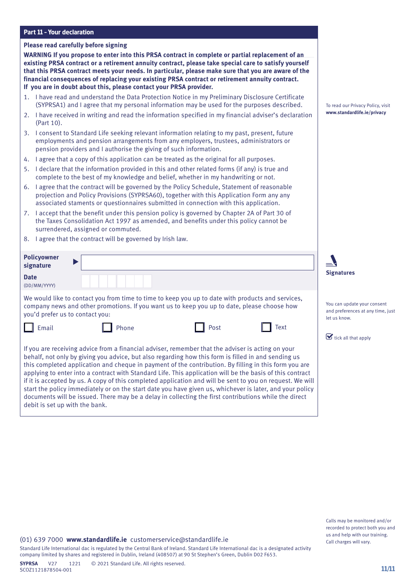| <b>Part 11 - Your declaration</b> |  |  |
|-----------------------------------|--|--|
|-----------------------------------|--|--|

| <b>Part 11 - Your declaration</b> |                                                                                                                                                                                                                                                                                                                                                                                                                                                                                                                                                                                                                                                                                                                                                                  |                                                                                  |
|-----------------------------------|------------------------------------------------------------------------------------------------------------------------------------------------------------------------------------------------------------------------------------------------------------------------------------------------------------------------------------------------------------------------------------------------------------------------------------------------------------------------------------------------------------------------------------------------------------------------------------------------------------------------------------------------------------------------------------------------------------------------------------------------------------------|----------------------------------------------------------------------------------|
|                                   | Please read carefully before signing                                                                                                                                                                                                                                                                                                                                                                                                                                                                                                                                                                                                                                                                                                                             |                                                                                  |
|                                   | WARNING If you propose to enter into this PRSA contract in complete or partial replacement of an<br>existing PRSA contract or a retirement annuity contract, please take special care to satisfy yourself<br>that this PRSA contract meets your needs. In particular, please make sure that you are aware of the<br>financial consequences of replacing your existing PRSA contract or retirement annuity contract.<br>If you are in doubt about this, please contact your PRSA provider.                                                                                                                                                                                                                                                                        |                                                                                  |
|                                   | 1. I have read and understand the Data Protection Notice in my Preliminary Disclosure Certificate<br>(SYPRSA1) and I agree that my personal information may be used for the purposes described.                                                                                                                                                                                                                                                                                                                                                                                                                                                                                                                                                                  | To read our Privacy Policy, visit                                                |
| (Part 10).                        | 2. I have received in writing and read the information specified in my financial adviser's declaration                                                                                                                                                                                                                                                                                                                                                                                                                                                                                                                                                                                                                                                           | www.standardlife.ie/privacy                                                      |
|                                   | 3. I consent to Standard Life seeking relevant information relating to my past, present, future<br>employments and pension arrangements from any employers, trustees, administrators or<br>pension providers and I authorise the giving of such information.                                                                                                                                                                                                                                                                                                                                                                                                                                                                                                     |                                                                                  |
| 4.                                | I agree that a copy of this application can be treated as the original for all purposes.                                                                                                                                                                                                                                                                                                                                                                                                                                                                                                                                                                                                                                                                         |                                                                                  |
| 5.                                | I declare that the information provided in this and other related forms (if any) is true and<br>complete to the best of my knowledge and belief, whether in my handwriting or not.                                                                                                                                                                                                                                                                                                                                                                                                                                                                                                                                                                               |                                                                                  |
|                                   | 6. I agree that the contract will be governed by the Policy Schedule, Statement of reasonable<br>projection and Policy Provisions (SYPRSA60), together with this Application Form any any<br>associated staments or questionnaires submitted in connection with this application.                                                                                                                                                                                                                                                                                                                                                                                                                                                                                |                                                                                  |
|                                   | 7. I accept that the benefit under this pension policy is governed by Chapter 2A of Part 30 of<br>the Taxes Consolidation Act 1997 as amended, and benefits under this policy cannot be<br>surrendered, assigned or commuted.                                                                                                                                                                                                                                                                                                                                                                                                                                                                                                                                    |                                                                                  |
|                                   | 8. I agree that the contract will be governed by Irish law.                                                                                                                                                                                                                                                                                                                                                                                                                                                                                                                                                                                                                                                                                                      |                                                                                  |
| <b>Policyowner</b>                |                                                                                                                                                                                                                                                                                                                                                                                                                                                                                                                                                                                                                                                                                                                                                                  |                                                                                  |
| signature                         |                                                                                                                                                                                                                                                                                                                                                                                                                                                                                                                                                                                                                                                                                                                                                                  | <b>Signatures</b>                                                                |
| <b>Date</b><br>(DD/MM/YYYY)       |                                                                                                                                                                                                                                                                                                                                                                                                                                                                                                                                                                                                                                                                                                                                                                  |                                                                                  |
| you'd prefer us to contact you:   | We would like to contact you from time to time to keep you up to date with products and services,<br>company news and other promotions. If you want us to keep you up to date, please choose how                                                                                                                                                                                                                                                                                                                                                                                                                                                                                                                                                                 | You can update your consent<br>and preferences at any time, just<br>let us know. |
| Email                             | Phone<br>Post<br>Text                                                                                                                                                                                                                                                                                                                                                                                                                                                                                                                                                                                                                                                                                                                                            |                                                                                  |
|                                   |                                                                                                                                                                                                                                                                                                                                                                                                                                                                                                                                                                                                                                                                                                                                                                  | $\mathbf \Sigma$ tick all that apply                                             |
| debit is set up with the bank.    | If you are receiving advice from a financial adviser, remember that the adviser is acting on your<br>behalf, not only by giving you advice, but also regarding how this form is filled in and sending us<br>this completed application and cheque in payment of the contribution. By filling in this form you are<br>applying to enter into a contract with Standard Life. This application will be the basis of this contract<br>if it is accepted by us. A copy of this completed application and will be sent to you on request. We will<br>start the policy immediately or on the start date you have given us, whichever is later, and your policy<br>documents will be issued. There may be a delay in collecting the first contributions while the direct |                                                                                  |

Standard Life International dac is regulated by the Central Bank of Ireland. Standard Life International dac is a designated activity company limited by shares and registered in Dublin, Ireland (408507) at 90 St Stephen's Green, Dublin D02 F653.

Calls may be monitored and/or recorded to protect both you and us and help with our training. Call charges will vary.